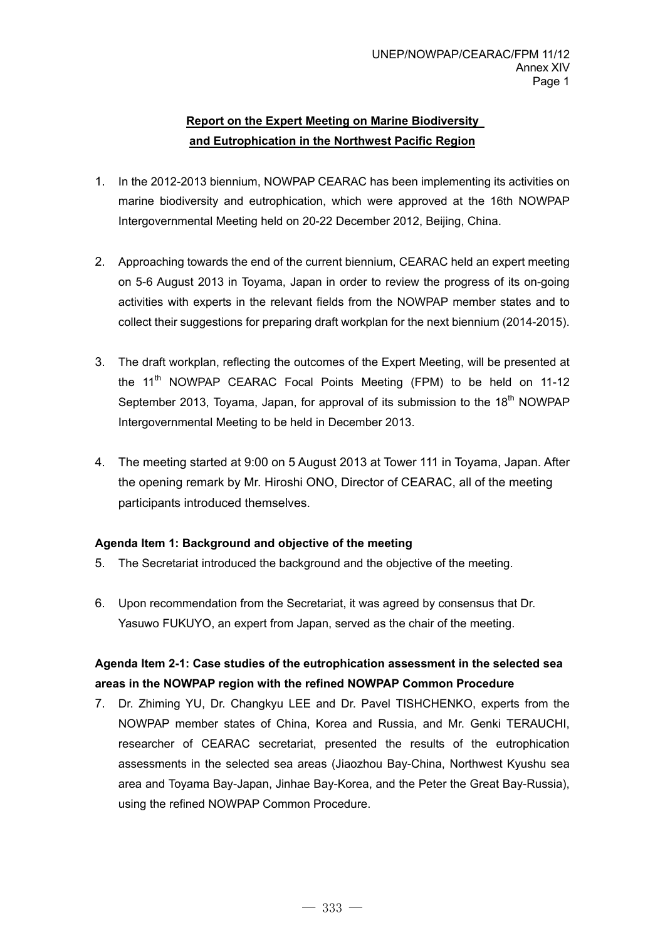## **Report on the Expert Meeting on Marine Biodiversity and Eutrophication in the Northwest Pacific Region**

- 1. In the 2012-2013 biennium, NOWPAP CEARAC has been implementing its activities on marine biodiversity and eutrophication, which were approved at the 16th NOWPAP Intergovernmental Meeting held on 20-22 December 2012, Beijing, China.
- 2. Approaching towards the end of the current biennium, CEARAC held an expert meeting on 5-6 August 2013 in Toyama, Japan in order to review the progress of its on-going activities with experts in the relevant fields from the NOWPAP member states and to collect their suggestions for preparing draft workplan for the next biennium (2014-2015).
- 3. The draft workplan, reflecting the outcomes of the Expert Meeting, will be presented at the 11<sup>th</sup> NOWPAP CEARAC Focal Points Meeting (FPM) to be held on 11-12 September 2013, Toyama, Japan, for approval of its submission to the  $18<sup>th</sup>$  NOWPAP Intergovernmental Meeting to be held in December 2013.
- 4. The meeting started at 9:00 on 5 August 2013 at Tower 111 in Toyama, Japan. After the opening remark by Mr. Hiroshi ONO, Director of CEARAC, all of the meeting participants introduced themselves.

## **Agenda Item 1: Background and objective of the meeting**

- 5. The Secretariat introduced the background and the objective of the meeting.
- 6. Upon recommendation from the Secretariat, it was agreed by consensus that Dr. Yasuwo FUKUYO, an expert from Japan, served as the chair of the meeting.

## **Agenda Item 2-1: Case studies of the eutrophication assessment in the selected sea areas in the NOWPAP region with the refined NOWPAP Common Procedure**

7. Dr. Zhiming YU, Dr. Changkyu LEE and Dr. Pavel TISHCHENKO, experts from the NOWPAP member states of China, Korea and Russia, and Mr. Genki TERAUCHI, researcher of CEARAC secretariat, presented the results of the eutrophication assessments in the selected sea areas (Jiaozhou Bay-China, Northwest Kyushu sea area and Toyama Bay-Japan, Jinhae Bay-Korea, and the Peter the Great Bay-Russia), using the refined NOWPAP Common Procedure.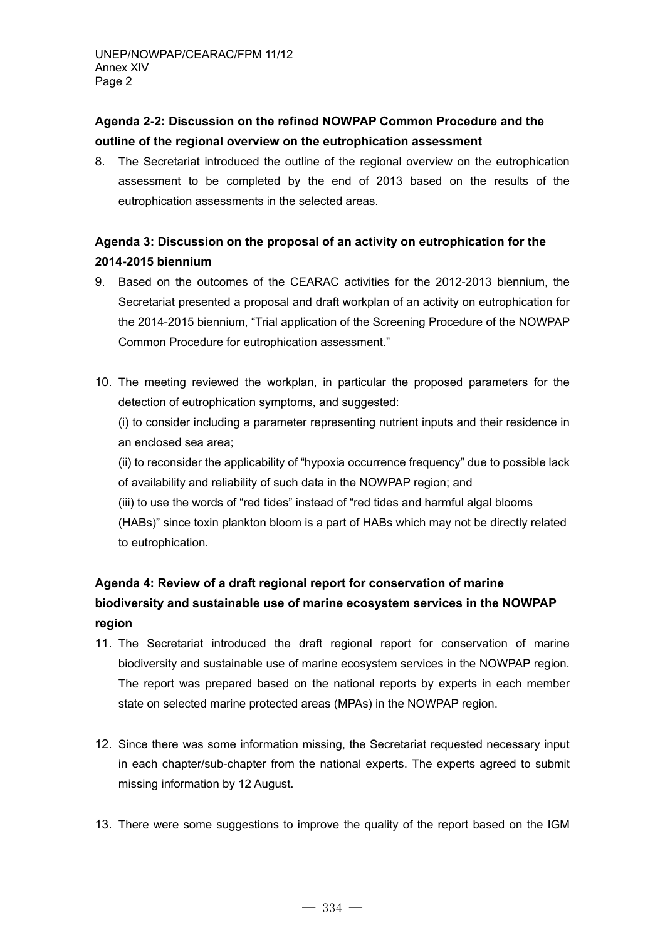## **Agenda 2-2: Discussion on the refined NOWPAP Common Procedure and the outline of the regional overview on the eutrophication assessment**

8. The Secretariat introduced the outline of the regional overview on the eutrophication assessment to be completed by the end of 2013 based on the results of the eutrophication assessments in the selected areas.

## **Agenda 3: Discussion on the proposal of an activity on eutrophication for the 2014-2015 biennium**

- 9. Based on the outcomes of the CEARAC activities for the 2012-2013 biennium, the Secretariat presented a proposal and draft workplan of an activity on eutrophication for the 2014-2015 biennium, "Trial application of the Screening Procedure of the NOWPAP Common Procedure for eutrophication assessment."
- 10. The meeting reviewed the workplan, in particular the proposed parameters for the detection of eutrophication symptoms, and suggested:

(i) to consider including a parameter representing nutrient inputs and their residence in an enclosed sea area;

(ii) to reconsider the applicability of "hypoxia occurrence frequency" due to possible lack of availability and reliability of such data in the NOWPAP region; and

(iii) to use the words of "red tides" instead of "red tides and harmful algal blooms (HABs)" since toxin plankton bloom is a part of HABs which may not be directly related to eutrophication.

# **Agenda 4: Review of a draft regional report for conservation of marine biodiversity and sustainable use of marine ecosystem services in the NOWPAP region**

- 11. The Secretariat introduced the draft regional report for conservation of marine biodiversity and sustainable use of marine ecosystem services in the NOWPAP region. The report was prepared based on the national reports by experts in each member state on selected marine protected areas (MPAs) in the NOWPAP region.
- 12. Since there was some information missing, the Secretariat requested necessary input in each chapter/sub-chapter from the national experts. The experts agreed to submit missing information by 12 August.
- 13. There were some suggestions to improve the quality of the report based on the IGM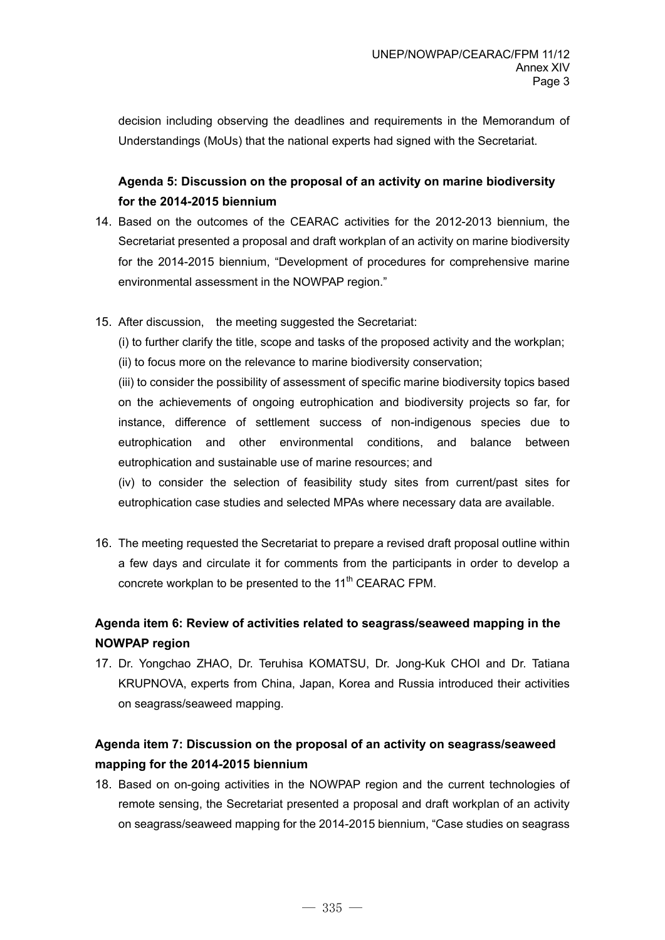decision including observing the deadlines and requirements in the Memorandum of Understandings (MoUs) that the national experts had signed with the Secretariat.

## **Agenda 5: Discussion on the proposal of an activity on marine biodiversity for the 2014-2015 biennium**

- 14. Based on the outcomes of the CEARAC activities for the 2012-2013 biennium, the Secretariat presented a proposal and draft workplan of an activity on marine biodiversity for the 2014-2015 biennium, "Development of procedures for comprehensive marine environmental assessment in the NOWPAP region."
- 15. After discussion, the meeting suggested the Secretariat:

(i) to further clarify the title, scope and tasks of the proposed activity and the workplan; (ii) to focus more on the relevance to marine biodiversity conservation;

(iii) to consider the possibility of assessment of specific marine biodiversity topics based on the achievements of ongoing eutrophication and biodiversity projects so far, for instance, difference of settlement success of non-indigenous species due to eutrophication and other environmental conditions, and balance between eutrophication and sustainable use of marine resources; and

(iv) to consider the selection of feasibility study sites from current/past sites for eutrophication case studies and selected MPAs where necessary data are available.

16. The meeting requested the Secretariat to prepare a revised draft proposal outline within a few days and circulate it for comments from the participants in order to develop a concrete workplan to be presented to the 11<sup>th</sup> CEARAC FPM.

# **Agenda item 6: Review of activities related to seagrass/seaweed mapping in the NOWPAP region**

17. Dr. Yongchao ZHAO, Dr. Teruhisa KOMATSU, Dr. Jong-Kuk CHOI and Dr. Tatiana KRUPNOVA, experts from China, Japan, Korea and Russia introduced their activities on seagrass/seaweed mapping.

## **Agenda item 7: Discussion on the proposal of an activity on seagrass/seaweed mapping for the 2014-2015 biennium**

18. Based on on-going activities in the NOWPAP region and the current technologies of remote sensing, the Secretariat presented a proposal and draft workplan of an activity on seagrass/seaweed mapping for the 2014-2015 biennium, "Case studies on seagrass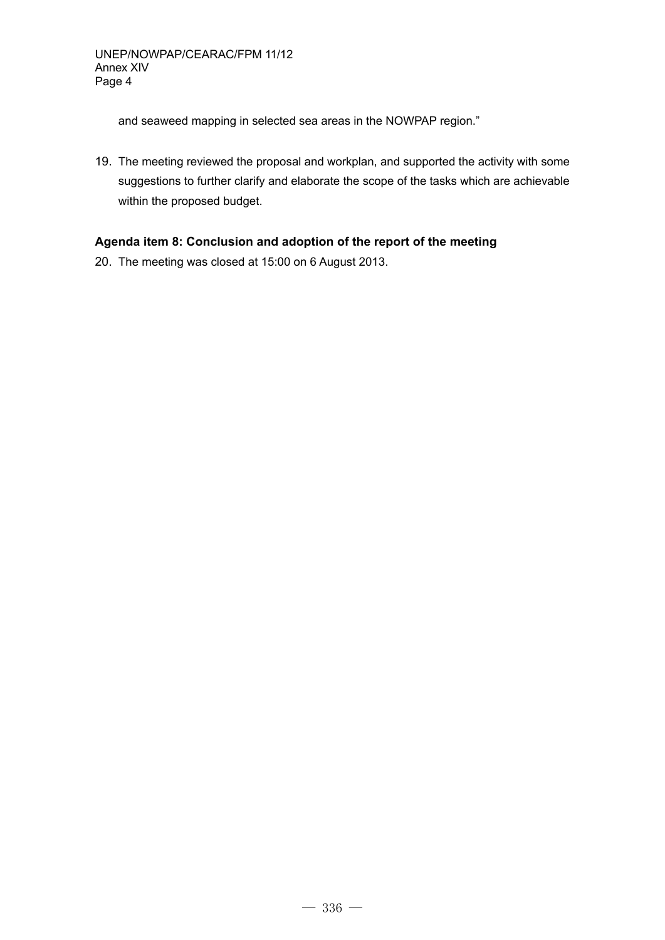and seaweed mapping in selected sea areas in the NOWPAP region."

19. The meeting reviewed the proposal and workplan, and supported the activity with some suggestions to further clarify and elaborate the scope of the tasks which are achievable within the proposed budget.

## **Agenda item 8: Conclusion and adoption of the report of the meeting**

20. The meeting was closed at 15:00 on 6 August 2013.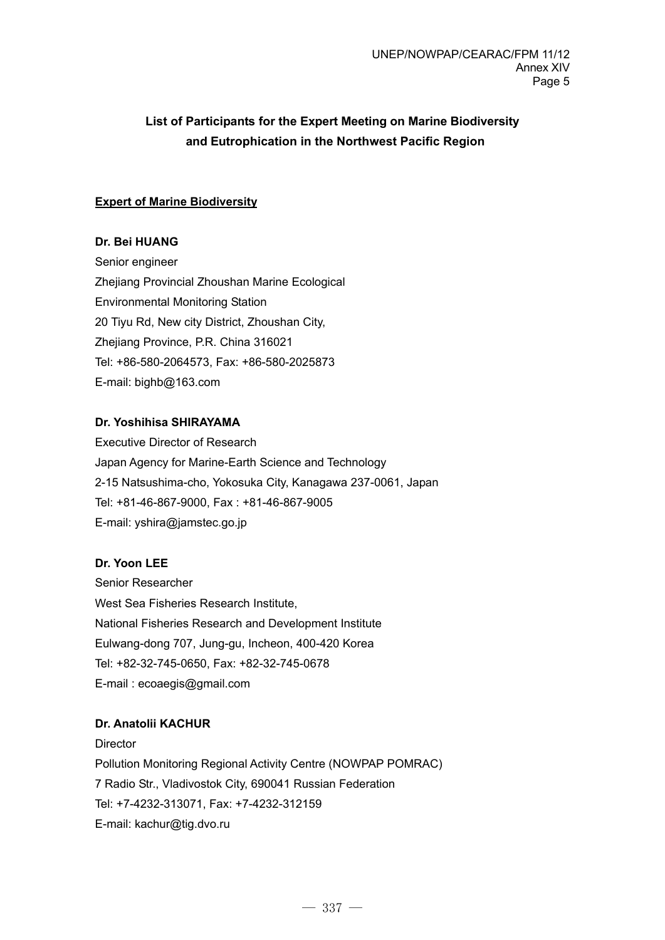# **List of Participants for the Expert Meeting on Marine Biodiversity and Eutrophication in the Northwest Pacific Region**

## **Expert of Marine Biodiversity**

## **Dr. Bei HUANG**

Senior engineer Zhejiang Provincial Zhoushan Marine Ecological Environmental Monitoring Station 20 Tiyu Rd, New city District, Zhoushan City, Zheijang Province, P.R. China 316021 Tel: +86-580-2064573, Fax: +86-580-2025873 E-mail: bighb@163.com

## **Dr. Yoshihisa SHIRAYAMA**

Executive Director of Research Japan Agency for Marine-Earth Science and Technology 2-15 Natsushima-cho, Yokosuka City, Kanagawa 237-0061, Japan Tel: +81-46-867-9000, Fax : +81-46-867-9005 E-mail: yshira@jamstec.go.jp

## **Dr. Yoon LEE**

Senior Researcher West Sea Fisheries Research Institute, National Fisheries Research and Development Institute Eulwang-dong 707, Jung-gu, Incheon, 400-420 Korea Tel: +82-32-745-0650, Fax: +82-32-745-0678 E-mail : ecoaegis@gmail.com

## **Dr. Anatolii KACHUR**

**Director** Pollution Monitoring Regional Activity Centre (NOWPAP POMRAC) 7 Radio Str., Vladivostok City, 690041 Russian Federation Tel: +7-4232-313071, Fax: +7-4232-312159 E-mail: kachur@tig.dvo.ru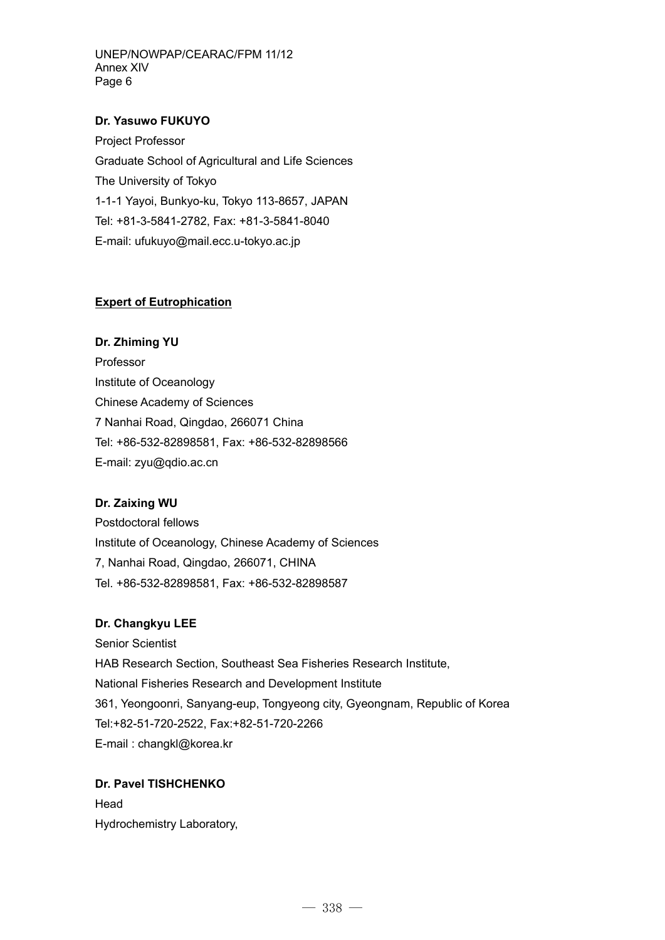UNEP/NOWPAP/CEARAC/FPM 11/12 Annex XIV Page 6

### **Dr. Yasuwo FUKUYO**

Project Professor Graduate School of Agricultural and Life Sciences The University of Tokyo 1-1-1 Yayoi, Bunkyo-ku, Tokyo 113-8657, JAPAN Tel: +81-3-5841-2782, Fax: +81-3-5841-8040 E-mail: ufukuyo@mail.ecc.u-tokyo.ac.jp

#### **Expert of Eutrophication**

**Dr. Zhiming YU**  Professor Institute of Oceanology Chinese Academy of Sciences 7 Nanhai Road, Qingdao, 266071 China Tel: +86-532-82898581, Fax: +86-532-82898566 E-mail: zyu@qdio.ac.cn

#### **Dr. Zaixing WU**

Postdoctoral fellows Institute of Oceanology, Chinese Academy of Sciences 7, Nanhai Road, Qingdao, 266071, CHINA Tel. +86-532-82898581, Fax: +86-532-82898587

#### **Dr. Changkyu LEE**

Senior Scientist HAB Research Section, Southeast Sea Fisheries Research Institute, National Fisheries Research and Development Institute 361, Yeongoonri, Sanyang-eup, Tongyeong city, Gyeongnam, Republic of Korea Tel:+82-51-720-2522, Fax:+82-51-720-2266 E-mail : changkl@korea.kr

## **Dr. Pavel TISHCHENKO**

**Head** Hydrochemistry Laboratory,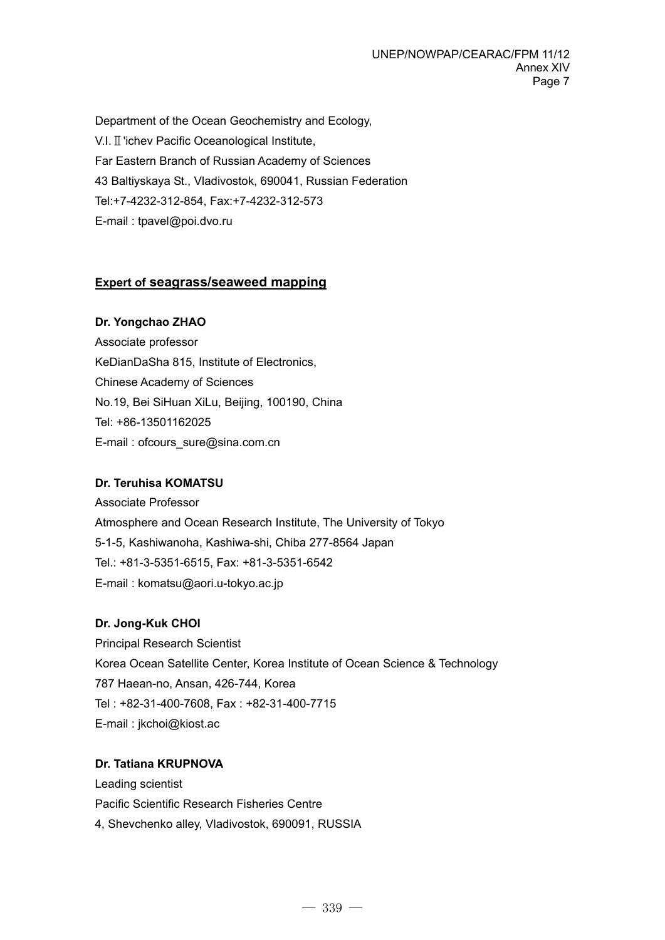Department of the Ocean Geochemistry and Ecology, V.I.Ⅱ'ichev Pacific Oceanological Institute, Far Eastern Branch of Russian Academy of Sciences 43 Baltiyskaya St., Vladivostok, 690041, Russian Federation Tel:+7-4232-312-854, Fax:+7-4232-312-573 E-mail : tpavel@poi.dvo.ru

## **Expert of seagrass/seaweed mapping**

#### **Dr. Yongchao ZHAO**

Associate professor KeDianDaSha 815, Institute of Electronics, Chinese Academy of Sciences No.19, Bei SiHuan XiLu, Beijing, 100190, China Tel: +86-13501162025 E-mail : ofcours\_sure@sina.com.cn

## **Dr. Teruhisa KOMATSU**

Associate Professor Atmosphere and Ocean Research Institute, The University of Tokyo 5-1-5, Kashiwanoha, Kashiwa-shi, Chiba 277-8564 Japan Tel.: +81-3-5351-6515, Fax: +81-3-5351-6542 E-mail : komatsu@aori.u-tokyo.ac.jp

## **Dr. Jong-Kuk CHOI**

Principal Research Scientist Korea Ocean Satellite Center, Korea Institute of Ocean Science & Technology 787 Haean-no, Ansan, 426-744, Korea Tel : +82-31-400-7608, Fax : +82-31-400-7715 E-mail : jkchoi@kiost.ac

#### **Dr. Tatiana KRUPNOVA**

Leading scientist Pacific Scientific Research Fisheries Centre 4, Shevchenko alley, Vladivostok, 690091, RUSSIA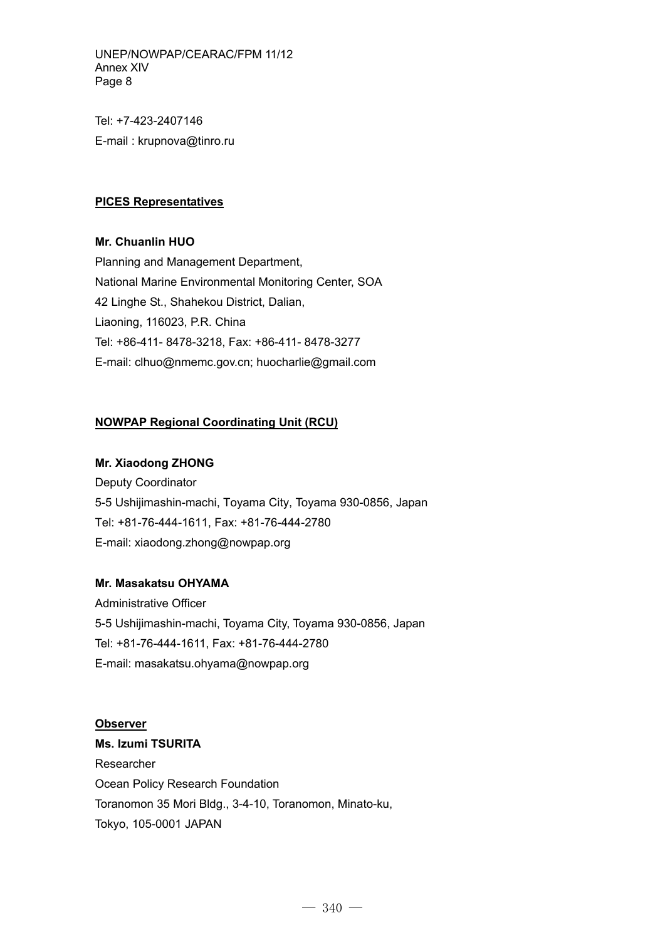UNEP/NOWPAP/CEARAC/FPM 11/12 Annex XIV Page 8

Tel: +7-423-2407146 E-mail : krupnova@tinro.ru

### **PICES Representatives**

**Mr. Chuanlin HUO** 

Planning and Management Department, National Marine Environmental Monitoring Center, SOA 42 Linghe St., Shahekou District, Dalian, Liaoning, 116023, P.R. China Tel: +86-411- 8478-3218, Fax: +86-411- 8478-3277 E-mail: clhuo@nmemc.gov.cn; huocharlie@gmail.com

## **NOWPAP Regional Coordinating Unit (RCU)**

#### **Mr. Xiaodong ZHONG**

Deputy Coordinator 5-5 Ushijimashin-machi, Toyama City, Toyama 930-0856, Japan Tel: +81-76-444-1611, Fax: +81-76-444-2780 E-mail: xiaodong.zhong@nowpap.org

## **Mr. Masakatsu OHYAMA**

Administrative Officer 5-5 Ushijimashin-machi, Toyama City, Toyama 930-0856, Japan Tel: +81-76-444-1611, Fax: +81-76-444-2780 E-mail: masakatsu.ohyama@nowpap.org

**Observer Ms. Izumi TSURITA**  Researcher Ocean Policy Research Foundation Toranomon 35 Mori Bldg., 3-4-10, Toranomon, Minato-ku, Tokyo, 105-0001 JAPAN